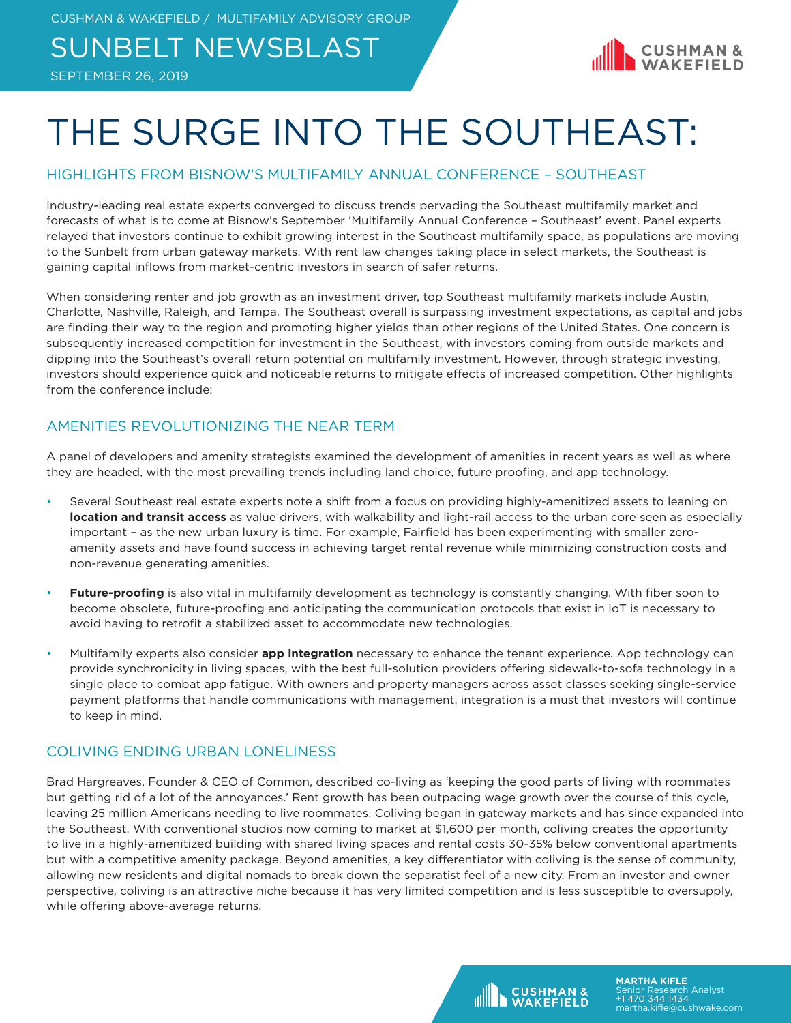### SUNBELT NEWSBLAST





## THE SURGE INTO THE SOUTHEAST:

### HIGHLIGHTS FROM BISNOW'S MULTIFAMILY ANNUAL CONFERENCE – SOUTHEAST

Industry-leading real estate experts converged to discuss trends pervading the Southeast multifamily market and forecasts of what is to come at Bisnow's September 'Multifamily Annual Conference – Southeast' event. Panel experts relayed that investors continue to exhibit growing interest in the Southeast multifamily space, as populations are moving to the Sunbelt from urban gateway markets. With rent law changes taking place in select markets, the Southeast is gaining capital inflows from market-centric investors in search of safer returns.

When considering renter and job growth as an investment driver, top Southeast multifamily markets include Austin, Charlotte, Nashville, Raleigh, and Tampa. The Southeast overall is surpassing investment expectations, as capital and jobs are finding their way to the region and promoting higher yields than other regions of the United States. One concern is subsequently increased competition for investment in the Southeast, with investors coming from outside markets and dipping into the Southeast's overall return potential on multifamily investment. However, through strategic investing, investors should experience quick and noticeable returns to mitigate effects of increased competition. Other highlights from the conference include:

### AMENITIES REVOLUTIONIZING THE NEAR TERM

A panel of developers and amenity strategists examined the development of amenities in recent years as well as where they are headed, with the most prevailing trends including land choice, future proofing, and app technology.

- Several Southeast real estate experts note a shift from a focus on providing highly-amenitized assets to leaning on **location and transit access** as value drivers, with walkability and light-rail access to the urban core seen as especially important – as the new urban luxury is time. For example, Fairfield has been experimenting with smaller zeroamenity assets and have found success in achieving target rental revenue while minimizing construction costs and non-revenue generating amenities.
- **Future-proofing** is also vital in multifamily development as technology is constantly changing. With fiber soon to become obsolete, future-proofing and anticipating the communication protocols that exist in IoT is necessary to avoid having to retrofit a stabilized asset to accommodate new technologies.
- Multifamily experts also consider **app integration** necessary to enhance the tenant experience. App technology can provide synchronicity in living spaces, with the best full-solution providers offering sidewalk-to-sofa technology in a single place to combat app fatigue. With owners and property managers across asset classes seeking single-service payment platforms that handle communications with management, integration is a must that investors will continue to keep in mind.

#### COLIVING ENDING URBAN LONELINESS

Brad Hargreaves, Founder & CEO of Common, described co-living as 'keeping the good parts of living with roommates but getting rid of a lot of the annoyances.' Rent growth has been outpacing wage growth over the course of this cycle, leaving 25 million Americans needing to live roommates. Coliving began in gateway markets and has since expanded into the Southeast. With conventional studios now coming to market at \$1,600 per month, coliving creates the opportunity to live in a highly-amenitized building with shared living spaces and rental costs 30-35% below conventional apartments but with a competitive amenity package. Beyond amenities, a key differentiator with coliving is the sense of community, allowing new residents and digital nomads to break down the separatist feel of a new city. From an investor and owner perspective, coliving is an attractive niche because it has very limited competition and is less susceptible to oversupply, while offering above-average returns.